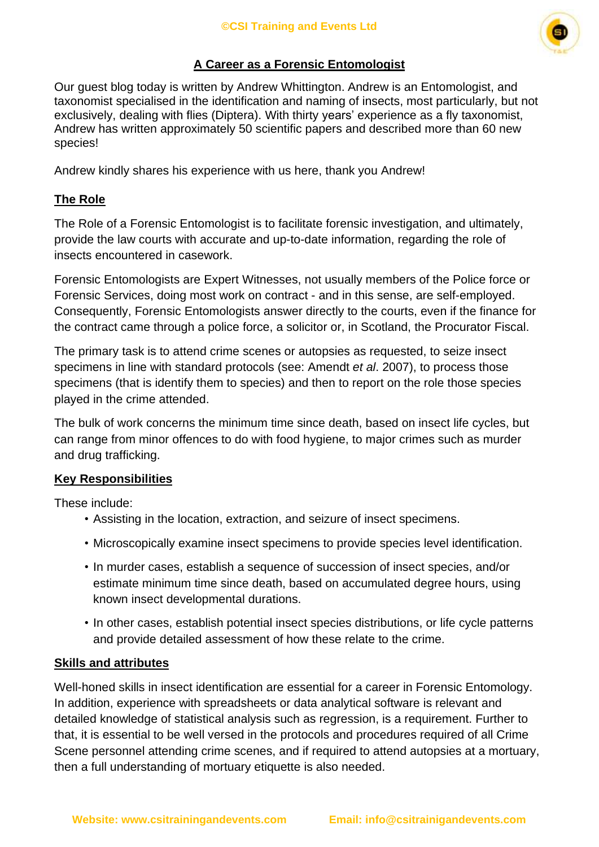

# **A Career as a Forensic Entomologist**

Our guest blog today is written by Andrew Whittington. Andrew is an Entomologist, and taxonomist specialised in the identification and naming of insects, most particularly, but not exclusively, dealing with flies (Diptera). With thirty years' experience as a fly taxonomist, Andrew has written approximately 50 scientific papers and described more than 60 new species!

Andrew kindly shares his experience with us here, thank you Andrew!

# **The Role**

The Role of a Forensic Entomologist is to facilitate forensic investigation, and ultimately, provide the law courts with accurate and up-to-date information, regarding the role of insects encountered in casework.

Forensic Entomologists are Expert Witnesses, not usually members of the Police force or Forensic Services, doing most work on contract - and in this sense, are self-employed. Consequently, Forensic Entomologists answer directly to the courts, even if the finance for the contract came through a police force, a solicitor or, in Scotland, the Procurator Fiscal.

The primary task is to attend crime scenes or autopsies as requested, to seize insect specimens in line with standard protocols (see: Amendt *et al*. 2007), to process those specimens (that is identify them to species) and then to report on the role those species played in the crime attended.

The bulk of work concerns the minimum time since death, based on insect life cycles, but can range from minor offences to do with food hygiene, to major crimes such as murder and drug trafficking.

# **Key Responsibilities**

These include:

- Assisting in the location, extraction, and seizure of insect specimens.
- Microscopically examine insect specimens to provide species level identification.
- In murder cases, establish a sequence of succession of insect species, and/or estimate minimum time since death, based on accumulated degree hours, using known insect developmental durations.
- In other cases, establish potential insect species distributions, or life cycle patterns and provide detailed assessment of how these relate to the crime.

# **Skills and attributes**

Well-honed skills in insect identification are essential for a career in Forensic Entomology. In addition, experience with spreadsheets or data analytical software is relevant and detailed knowledge of statistical analysis such as regression, is a requirement. Further to that, it is essential to be well versed in the protocols and procedures required of all Crime Scene personnel attending crime scenes, and if required to attend autopsies at a mortuary, then a full understanding of mortuary etiquette is also needed.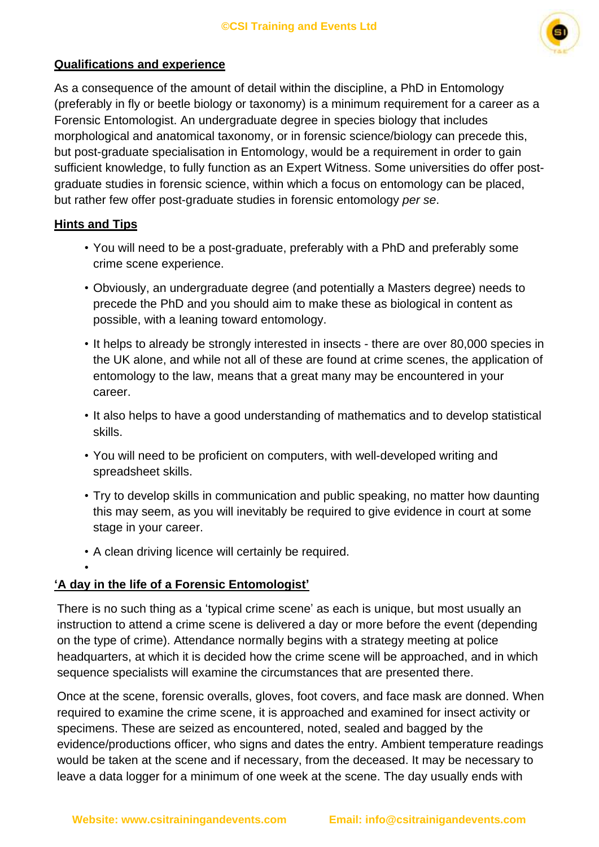

#### **Qualifications and experience**

As a consequence of the amount of detail within the discipline, a PhD in Entomology (preferably in fly or beetle biology or taxonomy) is a minimum requirement for a career as a Forensic Entomologist. An undergraduate degree in species biology that includes morphological and anatomical taxonomy, or in forensic science/biology can precede this, but post-graduate specialisation in Entomology, would be a requirement in order to gain sufficient knowledge, to fully function as an Expert Witness. Some universities do offer postgraduate studies in forensic science, within which a focus on entomology can be placed, but rather few offer post-graduate studies in forensic entomology *per se*.

#### **Hints and Tips**

•

- You will need to be a post-graduate, preferably with a PhD and preferably some crime scene experience.
- Obviously, an undergraduate degree (and potentially a Masters degree) needs to precede the PhD and you should aim to make these as biological in content as possible, with a leaning toward entomology.
- It helps to already be strongly interested in insects there are over 80,000 species in the UK alone, and while not all of these are found at crime scenes, the application of entomology to the law, means that a great many may be encountered in your career.
- It also helps to have a good understanding of mathematics and to develop statistical skills.
- You will need to be proficient on computers, with well-developed writing and spreadsheet skills.
- Try to develop skills in communication and public speaking, no matter how daunting this may seem, as you will inevitably be required to give evidence in court at some stage in your career.
- A clean driving licence will certainly be required.

# **'A day in the life of a Forensic Entomologist'**

There is no such thing as a 'typical crime scene' as each is unique, but most usually an instruction to attend a crime scene is delivered a day or more before the event (depending on the type of crime). Attendance normally begins with a strategy meeting at police headquarters, at which it is decided how the crime scene will be approached, and in which sequence specialists will examine the circumstances that are presented there.

Once at the scene, forensic overalls, gloves, foot covers, and face mask are donned. When required to examine the crime scene, it is approached and examined for insect activity or specimens. These are seized as encountered, noted, sealed and bagged by the evidence/productions officer, who signs and dates the entry. Ambient temperature readings would be taken at the scene and if necessary, from the deceased. It may be necessary to leave a data logger for a minimum of one week at the scene. The day usually ends with